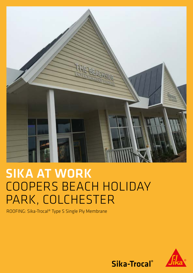

# SIKA AT WORK COOPERS BEACH HOLIDAY PARK, COLCHESTER

ROOFING: Sika-Trocal® Type S Single Ply Membrane



Sika-Trocal®